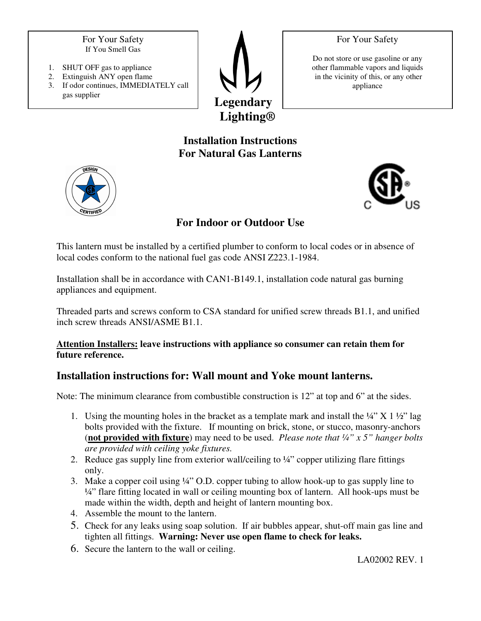For Your Safety

For Your Safety If You Smell Gas

- 1. SHUT OFF gas to appliance
- 2. Extinguish ANY open flame
- 3. If odor continues, IMMEDIATELY call gas supplier



Do not store or use gasoline or any other flammable vapors and liquids in the vicinity of this, or any other appliance

# **Installation Instructions For Natural Gas Lanterns**





**For Indoor or Outdoor Use** 

This lantern must be installed by a certified plumber to conform to local codes or in absence of local codes conform to the national fuel gas code ANSI Z223.1-1984.

Installation shall be in accordance with CAN1-B149.1, installation code natural gas burning appliances and equipment.

Threaded parts and screws conform to CSA standard for unified screw threads B1.1, and unified inch screw threads ANSI/ASME B1.1.

#### **Attention Installers: leave instructions with appliance so consumer can retain them for future reference.**

## **Installation instructions for: Wall mount and Yoke mount lanterns.**

Note: The minimum clearance from combustible construction is 12" at top and 6" at the sides.

- 1. Using the mounting holes in the bracket as a template mark and install the  $\frac{1}{4}$   $\times$  X 1  $\frac{1}{2}$  lag bolts provided with the fixture. If mounting on brick, stone, or stucco, masonry-anchors (**not provided with fixture**) may need to be used. *Please note that ¼" x 5" hanger bolts are provided with ceiling yoke fixtures.*
- 2. Reduce gas supply line from exterior wall/ceiling to  $\frac{1}{4}$  copper utilizing flare fittings only.
- 3. Make a copper coil using ¼" O.D. copper tubing to allow hook-up to gas supply line to ¼" flare fitting located in wall or ceiling mounting box of lantern. All hook-ups must be made within the width, depth and height of lantern mounting box.
- 4. Assemble the mount to the lantern.
- 5. Check for any leaks using soap solution. If air bubbles appear, shut-off main gas line and tighten all fittings. **Warning: Never use open flame to check for leaks.**
- 6. Secure the lantern to the wall or ceiling.

LA02002 REV. 1